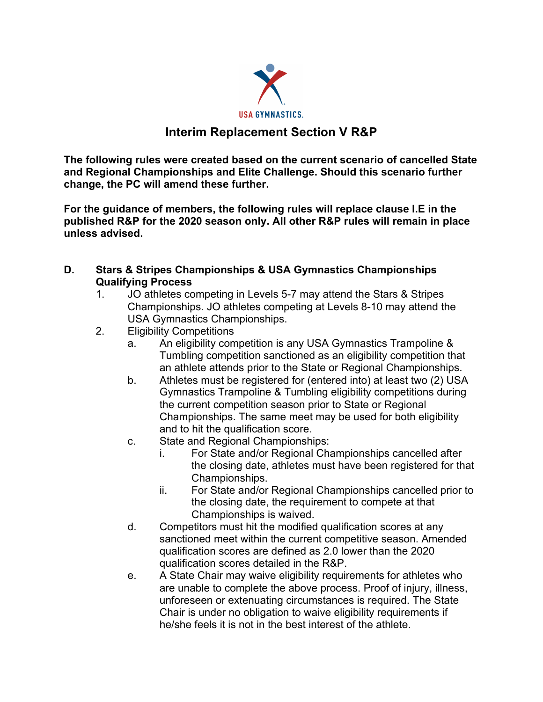

## **Interim Replacement Section V R&P**

**The following rules were created based on the current scenario of cancelled State and Regional Championships and Elite Challenge. Should this scenario further change, the PC will amend these further.**

**For the guidance of members, the following rules will replace clause I.E in the published R&P for the 2020 season only. All other R&P rules will remain in place unless advised.**

- **D. Stars & Stripes Championships & USA Gymnastics Championships Qualifying Process**
	- 1. JO athletes competing in Levels 5-7 may attend the Stars & Stripes Championships. JO athletes competing at Levels 8-10 may attend the USA Gymnastics Championships.
	- 2. Eligibility Competitions
		- a. An eligibility competition is any USA Gymnastics Trampoline & Tumbling competition sanctioned as an eligibility competition that an athlete attends prior to the State or Regional Championships.
		- b. Athletes must be registered for (entered into) at least two (2) USA Gymnastics Trampoline & Tumbling eligibility competitions during the current competition season prior to State or Regional Championships. The same meet may be used for both eligibility and to hit the qualification score.
		- c. State and Regional Championships:
			- i. For State and/or Regional Championships cancelled after the closing date, athletes must have been registered for that Championships.
			- ii. For State and/or Regional Championships cancelled prior to the closing date, the requirement to compete at that Championships is waived.
		- d. Competitors must hit the modified qualification scores at any sanctioned meet within the current competitive season. Amended qualification scores are defined as 2.0 lower than the 2020 qualification scores detailed in the R&P.
		- e. A State Chair may waive eligibility requirements for athletes who are unable to complete the above process. Proof of injury, illness, unforeseen or extenuating circumstances is required. The State Chair is under no obligation to waive eligibility requirements if he/she feels it is not in the best interest of the athlete.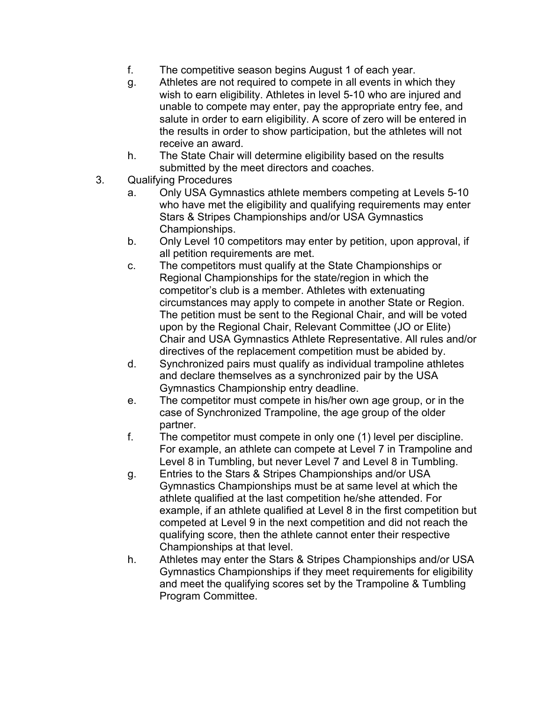- f. The competitive season begins August 1 of each year.
- g. Athletes are not required to compete in all events in which they wish to earn eligibility. Athletes in level 5-10 who are injured and unable to compete may enter, pay the appropriate entry fee, and salute in order to earn eligibility. A score of zero will be entered in the results in order to show participation, but the athletes will not receive an award.
- h. The State Chair will determine eligibility based on the results submitted by the meet directors and coaches.
- 3. Qualifying Procedures
	- a. Only USA Gymnastics athlete members competing at Levels 5-10 who have met the eligibility and qualifying requirements may enter Stars & Stripes Championships and/or USA Gymnastics Championships.
	- b. Only Level 10 competitors may enter by petition, upon approval, if all petition requirements are met.
	- c. The competitors must qualify at the State Championships or Regional Championships for the state/region in which the competitor's club is a member. Athletes with extenuating circumstances may apply to compete in another State or Region. The petition must be sent to the Regional Chair, and will be voted upon by the Regional Chair, Relevant Committee (JO or Elite) Chair and USA Gymnastics Athlete Representative. All rules and/or directives of the replacement competition must be abided by.
	- d. Synchronized pairs must qualify as individual trampoline athletes and declare themselves as a synchronized pair by the USA Gymnastics Championship entry deadline.
	- e. The competitor must compete in his/her own age group, or in the case of Synchronized Trampoline, the age group of the older partner.
	- f. The competitor must compete in only one (1) level per discipline. For example, an athlete can compete at Level 7 in Trampoline and Level 8 in Tumbling, but never Level 7 and Level 8 in Tumbling.
	- g. Entries to the Stars & Stripes Championships and/or USA Gymnastics Championships must be at same level at which the athlete qualified at the last competition he/she attended. For example, if an athlete qualified at Level 8 in the first competition but competed at Level 9 in the next competition and did not reach the qualifying score, then the athlete cannot enter their respective Championships at that level.
	- h. Athletes may enter the Stars & Stripes Championships and/or USA Gymnastics Championships if they meet requirements for eligibility and meet the qualifying scores set by the Trampoline & Tumbling Program Committee.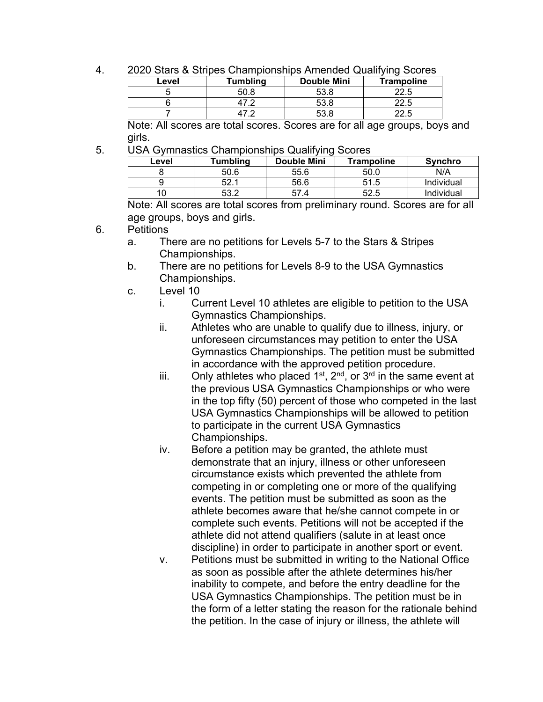4. 2020 Stars & Stripes Championships Amended Qualifying Scores

| Level | <b>Tumbling</b> | <b>Double Mini</b> | <b>Trampoline</b> |  |  |
|-------|-----------------|--------------------|-------------------|--|--|
|       | 50.8            |                    | 22.5              |  |  |
|       |                 |                    | 22.5              |  |  |
|       |                 | 53.8               |                   |  |  |

Note: All scores are total scores. Scores are for all age groups, boys and girls.

5. USA Gymnastics Championships Qualifying Scores

| Level | Tumbling  | Double Mini | Trampoline | <b>Synchro</b> |
|-------|-----------|-------------|------------|----------------|
|       | 50.6      | 55.6        | 50.0       | N/A            |
|       | $J_{L}$ . | 56.6        | 51.5       | Individual     |
|       | よる ひ      |             | 52.5       | Individual     |

Note: All scores are total scores from preliminary round. Scores are for all age groups, boys and girls.

- 6. Petitions
	- a. There are no petitions for Levels 5-7 to the Stars & Stripes Championships.
	- b. There are no petitions for Levels 8-9 to the USA Gymnastics Championships.
	- c. Level 10
		- i. Current Level 10 athletes are eligible to petition to the USA Gymnastics Championships.
		- ii. Athletes who are unable to qualify due to illness, injury, or unforeseen circumstances may petition to enter the USA Gymnastics Championships. The petition must be submitted in accordance with the approved petition procedure.
		- iii. Only athletes who placed  $1^{st}$ ,  $2^{nd}$ , or  $3^{rd}$  in the same event at the previous USA Gymnastics Championships or who were in the top fifty (50) percent of those who competed in the last USA Gymnastics Championships will be allowed to petition to participate in the current USA Gymnastics Championships.
		- iv. Before a petition may be granted, the athlete must demonstrate that an injury, illness or other unforeseen circumstance exists which prevented the athlete from competing in or completing one or more of the qualifying events. The petition must be submitted as soon as the athlete becomes aware that he/she cannot compete in or complete such events. Petitions will not be accepted if the athlete did not attend qualifiers (salute in at least once discipline) in order to participate in another sport or event.
		- v. Petitions must be submitted in writing to the National Office as soon as possible after the athlete determines his/her inability to compete, and before the entry deadline for the USA Gymnastics Championships. The petition must be in the form of a letter stating the reason for the rationale behind the petition. In the case of injury or illness, the athlete will